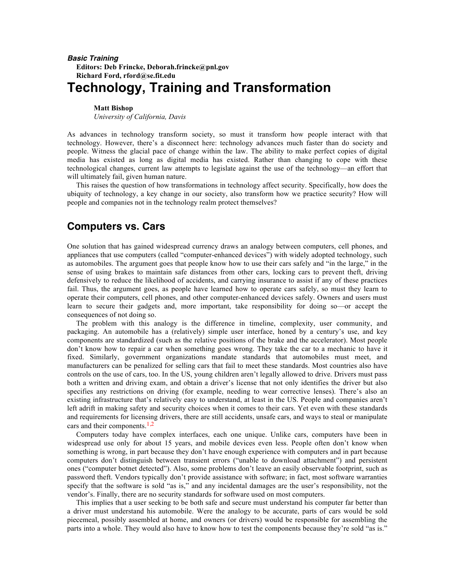### *Basic Training* **Editors: Deb Frincke, Deborah.frincke@pnl.gov Richard Ford, rford@se.fit.edu**

# **Technology, Training and Transformation**

#### **Matt Bishop**

*University of California, Davis*

As advances in technology transform society, so must it transform how people interact with that technology. However, there's a disconnect here: technology advances much faster than do society and people. Witness the glacial pace of change within the law. The ability to make perfect copies of digital media has existed as long as digital media has existed. Rather than changing to cope with these technological changes, current law attempts to legislate against the use of the technology—an effort that will ultimately fail, given human nature.

This raises the question of how transformations in technology affect security. Specifically, how does the ubiquity of technology, a key change in our society, also transform how we practice security? How will people and companies not in the technology realm protect themselves?

## **Computers vs. Cars**

One solution that has gained widespread currency draws an analogy between computers, cell phones, and appliances that use computers (called "computer-enhanced devices") with widely adopted technology, such as automobiles. The argument goes that people know how to use their cars safely and "in the large," in the sense of using brakes to maintain safe distances from other cars, locking cars to prevent theft, driving defensively to reduce the likelihood of accidents, and carrying insurance to assist if any of these practices fail. Thus, the argument goes, as people have learned how to operate cars safely, so must they learn to operate their computers, cell phones, and other computer-enhanced devices safely. Owners and users must learn to secure their gadgets and, more important, take responsibility for doing so—or accept the consequences of not doing so.

The problem with this analogy is the difference in timeline, complexity, user community, and packaging. An automobile has a (relatively) simple user interface, honed by a century's use, and key components are standardized (such as the relative positions of the brake and the accelerator). Most people don't know how to repair a car when something goes wrong. They take the car to a mechanic to have it fixed. Similarly, government organizations mandate standards that automobiles must meet, and manufacturers can be penalized for selling cars that fail to meet these standards. Most countries also have controls on the use of cars, too. In the US, young children aren't legally allowed to drive. Drivers must pass both a written and driving exam, and obtain a driver's license that not only identifies the driver but also specifies any restrictions on driving (for example, needing to wear corrective lenses). There's also an existing infrastructure that's relatively easy to understand, at least in the US. People and companies aren't left adrift in making safety and security choices when it comes to their cars. Yet even with these standards and requirements for licensing drivers, there are still accidents, unsafe cars, and ways to steal or manipulate cars and their components.<sup>1,2</sup>

Computers today have complex interfaces, each one unique. Unlike cars, computers have been in widespread use only for about 15 years, and mobile devices even less. People often don't know when something is wrong, in part because they don't have enough experience with computers and in part because computers don't distinguish between transient errors ("unable to download attachment") and persistent ones ("computer botnet detected"). Also, some problems don't leave an easily observable footprint, such as password theft. Vendors typically don't provide assistance with software; in fact, most software warranties specify that the software is sold "as is," and any incidental damages are the user's responsibility, not the vendor's. Finally, there are no security standards for software used on most computers.

This implies that a user seeking to be both safe and secure must understand his computer far better than a driver must understand his automobile. Were the analogy to be accurate, parts of cars would be sold piecemeal, possibly assembled at home, and owners (or drivers) would be responsible for assembling the parts into a whole. They would also have to know how to test the components because they're sold "as is."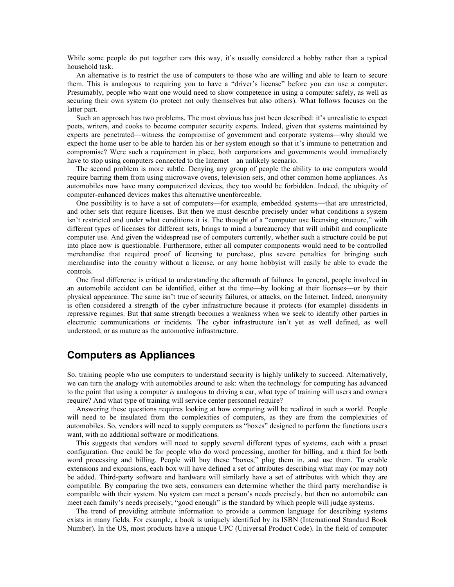While some people do put together cars this way, it's usually considered a hobby rather than a typical household task.

An alternative is to restrict the use of computers to those who are willing and able to learn to secure them. This is analogous to requiring you to have a "driver's license" before you can use a computer. Presumably, people who want one would need to show competence in using a computer safely, as well as securing their own system (to protect not only themselves but also others). What follows focuses on the latter part.

Such an approach has two problems. The most obvious has just been described: it's unrealistic to expect poets, writers, and cooks to become computer security experts. Indeed, given that systems maintained by experts are penetrated—witness the compromise of government and corporate systems—why should we expect the home user to be able to harden his or her system enough so that it's immune to penetration and compromise? Were such a requirement in place, both corporations and governments would immediately have to stop using computers connected to the Internet—an unlikely scenario.

The second problem is more subtle. Denying any group of people the ability to use computers would require barring them from using microwave ovens, television sets, and other common home appliances. As automobiles now have many computerized devices, they too would be forbidden. Indeed, the ubiquity of computer-enhanced devices makes this alternative unenforceable.

One possibility is to have a set of computers—for example, embedded systems—that are unrestricted, and other sets that require licenses. But then we must describe precisely under what conditions a system isn't restricted and under what conditions it is. The thought of a "computer use licensing structure," with different types of licenses for different sets, brings to mind a bureaucracy that will inhibit and complicate computer use. And given the widespread use of computers currently, whether such a structure could be put into place now is questionable. Furthermore, either all computer components would need to be controlled merchandise that required proof of licensing to purchase, plus severe penalties for bringing such merchandise into the country without a license, or any home hobbyist will easily be able to evade the controls.

One final difference is critical to understanding the aftermath of failures. In general, people involved in an automobile accident can be identified, either at the time—by looking at their licenses—or by their physical appearance. The same isn't true of security failures, or attacks, on the Internet. Indeed, anonymity is often considered a strength of the cyber infrastructure because it protects (for example) dissidents in repressive regimes. But that same strength becomes a weakness when we seek to identify other parties in electronic communications or incidents. The cyber infrastructure isn't yet as well defined, as well understood, or as mature as the automotive infrastructure.

### **Computers as Appliances**

So, training people who use computers to understand security is highly unlikely to succeed. Alternatively, we can turn the analogy with automobiles around to ask: when the technology for computing has advanced to the point that using a computer *is* analogous to driving a car, what type of training will users and owners require? And what type of training will service center personnel require?

Answering these questions requires looking at how computing will be realized in such a world. People will need to be insulated from the complexities of computers, as they are from the complexities of automobiles. So, vendors will need to supply computers as "boxes" designed to perform the functions users want, with no additional software or modifications.

This suggests that vendors will need to supply several different types of systems, each with a preset configuration. One could be for people who do word processing, another for billing, and a third for both word processing and billing. People will buy these "boxes," plug them in, and use them. To enable extensions and expansions, each box will have defined a set of attributes describing what may (or may not) be added. Third-party software and hardware will similarly have a set of attributes with which they are compatible. By comparing the two sets, consumers can determine whether the third party merchandise is compatible with their system. No system can meet a person's needs precisely, but then no automobile can meet each family's needs precisely; "good enough" is the standard by which people will judge systems.

The trend of providing attribute information to provide a common language for describing systems exists in many fields. For example, a book is uniquely identified by its ISBN (International Standard Book Number). In the US, most products have a unique UPC (Universal Product Code). In the field of computer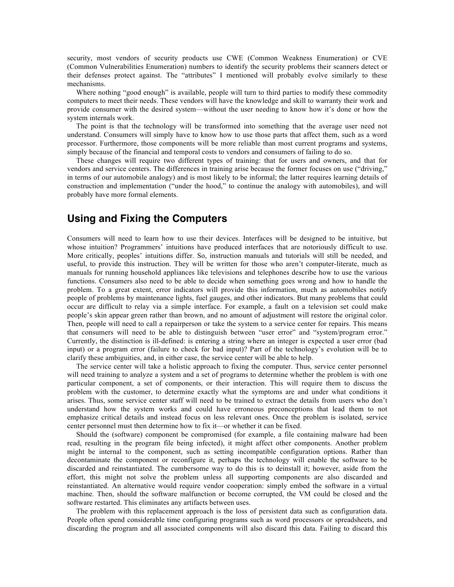security, most vendors of security products use CWE (Common Weakness Enumeration) or CVE (Common Vulnerabilities Enumeration) numbers to identify the security problems their scanners detect or their defenses protect against. The "attributes" I mentioned will probably evolve similarly to these mechanisms.

Where nothing "good enough" is available, people will turn to third parties to modify these commodity computers to meet their needs. These vendors will have the knowledge and skill to warranty their work and provide consumer with the desired system—without the user needing to know how it's done or how the system internals work.

The point is that the technology will be transformed into something that the average user need not understand. Consumers will simply have to know how to use those parts that affect them, such as a word processor. Furthermore, those components will be more reliable than most current programs and systems, simply because of the financial and temporal costs to vendors and consumers of failing to do so.

These changes will require two different types of training: that for users and owners, and that for vendors and service centers. The differences in training arise because the former focuses on use ("driving," in terms of our automobile analogy) and is most likely to be informal; the latter requires learning details of construction and implementation ("under the hood," to continue the analogy with automobiles), and will probably have more formal elements.

### **Using and Fixing the Computers**

Consumers will need to learn how to use their devices. Interfaces will be designed to be intuitive, but whose intuition? Programmers' intuitions have produced interfaces that are notoriously difficult to use. More critically, peoples' intuitions differ. So, instruction manuals and tutorials will still be needed, and useful, to provide this instruction. They will be written for those who aren't computer-literate, much as manuals for running household appliances like televisions and telephones describe how to use the various functions. Consumers also need to be able to decide when something goes wrong and how to handle the problem. To a great extent, error indicators will provide this information, much as automobiles notify people of problems by maintenance lights, fuel gauges, and other indicators. But many problems that could occur are difficult to relay via a simple interface. For example, a fault on a television set could make people's skin appear green rather than brown, and no amount of adjustment will restore the original color. Then, people will need to call a repairperson or take the system to a service center for repairs. This means that consumers will need to be able to distinguish between "user error" and "system/program error." Currently, the distinction is ill-defined: is entering a string where an integer is expected a user error (bad input) or a program error (failure to check for bad input)? Part of the technology's evolution will be to clarify these ambiguities, and, in either case, the service center will be able to help.

The service center will take a holistic approach to fixing the computer. Thus, service center personnel will need training to analyze a system and a set of programs to determine whether the problem is with one particular component, a set of components, or their interaction. This will require them to discuss the problem with the customer, to determine exactly what the symptoms are and under what conditions it arises. Thus, some service center staff will need to be trained to extract the details from users who don't understand how the system works and could have erroneous preconceptions that lead them to not emphasize critical details and instead focus on less relevant ones. Once the problem is isolated, service center personnel must then determine how to fix it—or whether it can be fixed.

Should the (software) component be compromised (for example, a file containing malware had been read, resulting in the program file being infected), it might affect other components. Another problem might be internal to the component, such as setting incompatible configuration options. Rather than decontaminate the component or reconfigure it, perhaps the technology will enable the software to be discarded and reinstantiated. The cumbersome way to do this is to deinstall it; however, aside from the effort, this might not solve the problem unless all supporting components are also discarded and reinstantiated. An alternative would require vendor cooperation: simply embed the software in a virtual machine. Then, should the software malfunction or become corrupted, the VM could be closed and the software restarted. This eliminates any artifacts between uses.

The problem with this replacement approach is the loss of persistent data such as configuration data. People often spend considerable time configuring programs such as word processors or spreadsheets, and discarding the program and all associated components will also discard this data. Failing to discard this